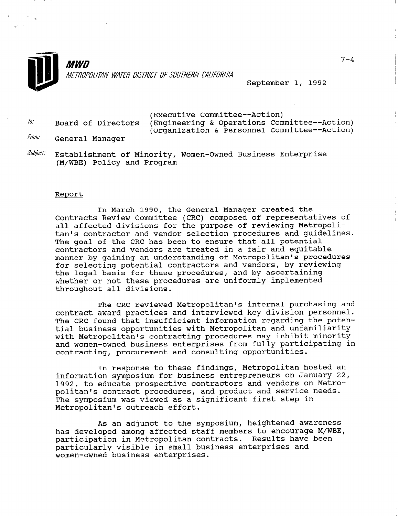

 $\epsilon$  is  $\frac{1}{4}$  $\omega$  is the inter-

> **MWD** METROPOLITAN WATER DISTRICT OF SOUTHERN CALIFORNIA

> > September 1, 1992

|       | (Executive Committee--Action) |                                              |  |
|-------|-------------------------------|----------------------------------------------|--|
| To:   | Board of Directors            | (Engineering & Operations Committee--Action) |  |
|       |                               | (Organization & Personnel Committee--Action) |  |
| From: | General Manager               |                                              |  |

 $\textit{Subject:}$  Establishment of Minority, Women-Owned Business Enterprise (M/WBE) Policy and Program

## Report

In March 1990, the General Manager created the Contracts Review Committee (CRC) composed of representatives of all affected divisions for the purpose of reviewing Metropolitan's contractor and vendor selection procedures and guidelines. The goal of the CRC has been to ensure that all potential contractors and vendors are treated in a fair and equitable manner by gaining an understanding of Metropolitan's procedures for selecting potential contractors and vendors, by reviewing the legal basis for these procedures, and by ascertaining whether or not these procedures are uniformly implemented throughout all divisions.

The CRC reviewed Metropolitan's internal purchasing and contract award practices and interviewed key division personnel. The CRC found that insufficient information regarding the potential business opportunities with Metropolitan and unfamiliarity with Metropolitan's contracting procedures may inhibit minority and women-owned business enterprises from fully participating in contracting, procurement and consulting opportunities.

In response to these findings, Metropolitan hosted an information symposium for business entrepreneurs on January 22, 1992, to educate prospective contractors and vendors on Metropolitan's contract procedures, and product and service needs. The symposium was viewed as a significant first step in Metropolitan's outreach effort.

As an adjunct to the symposium, heightened awareness has du dujunt to the symposium, neightened uwareness<br>has developed among affected staff members to encourage M/WBE nas developed among arrected starr members to encourage m/w<br>...ticipation in Metropolitan contracts...Pecults have been participation in Metropolitan contracts. Results have been particularly visible in small business enterprises and women-owned business enterprises.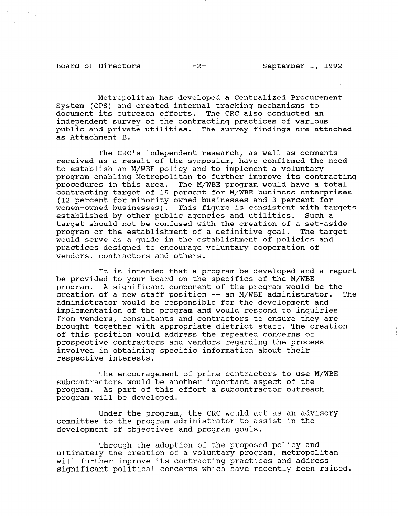Board of Directors -2- September 1, 1992

Metropolitan has developed a Centralized Procurement System (CPS) and created internal tracking mechanisms to document its outreach efforts. The CRC also conducted an independent survey of the contracting practices of various public and private utilities. The survey findings are attached as Attachment B.

The CRC's independent research, as well as comments received as a result of the symposium, have confirmed the need to establish an M/WBE policy and to implement a voluntary program enabling Metropolitan to further improve its contracting procedures in this area. The M/WBE program would have a total contracting target of 15 percent for M/WBE business enterprises (12 percent for minority owned businesses and 3 percent for women-owned businesses). This figure is consistent with targets established by other public agencies and utilities. Such a target should not be confused with the creation of a set-aside program or the establishment of a definitive goal. The target would serve as a guide in the establishment of policies and practices designed to encourage voluntary cooperation of vendors, contractors and others.

It is intended that a program be developed and a report be provided to your board on the specifics of the M/WBE program. A significant component of the program would be the creation of a new staff position -- an M/WBE administrator. The administrator would be responsible for the development and implementation of the program and would respond to inquiries from vendors, consultants and contractors to ensure they are brought together with appropriate district staff. The creation of this position would address the repeated concerns of prospective contractors and vendors regarding the process involved in obtaining specific information about their respective interests.

The encouragement of prime contractors to use M/WBE subcontractors would be another important aspect of the pubcontractors would be another important aspect of the program. As part or third<br>with the developed

Under the program, the CRC would act as an advisory communister the program, the ckc would acc as an administrator to a substitute in the committee to the program administrator to assist in the development of objectives and program goals.

Through the adoption of the proposed policy and ultimately the computant of the proposed portey and<br>University the creation of a voluntary program, Metropoli ultimately the creation of a voluntary program, Metropolitan will further improve its contracting practices and address<br>significant political concerns which have recently been raised.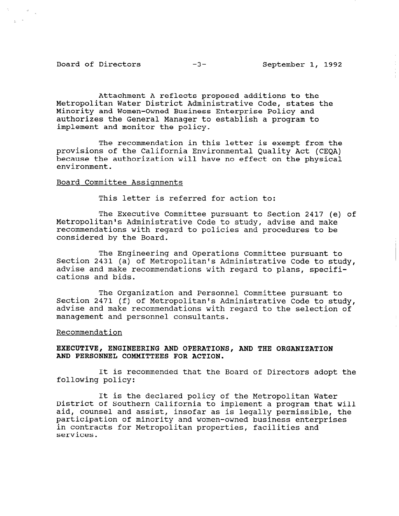## Board of Directors -3- September 1, 1992

Attachment A reflects proposed additions to the Metropolitan Water District Administrative Code, states the Minority and Women-Owned Business Enterprise Policy and authorizes the General Manager to establish a program to implement and monitor the policy.

The recommendation in this letter is exempt from the provisions of the California Environmental Quality Act (CEQA) because the authorization will have no effect on the physical environment.

# Board Committee Assignments

This letter is referred for action to:

The Executive Committee pursuant to Section 2417 (e) of Metropolitan's Administrative Code to study, advise and make recommendations with regard to policies and procedures to be considered by the Board.

The Engineering and Operations Committee pursuant to Section 2431 (a) of Metropolitan's Administrative Code to study, advise and make recommendations with regard to plans, specifications and bids.

The Organization and Personnel Committee pursuant to Section 2471 (f) of Metropolitan's Administrative Code to study, advise and make recommendations with regard to the selection of management and personnel consultants.

## Recommendation

# EXECUTIVE, ENGINEERING AND OPERATIONS, AND THE ORGANIZATION AND PERSONNEL COMMITTEES FOR ACTION.

It is recommended that the Board of Directors adopt the following policy:

It is the declared policy of the Metropolitan Water District of Southern California to implement a program that will aid, counsel and assist, insofar as is legally permissible, the alu, counsel and assist, insolar as is legally permissible, participation of minority and women-owned business enterprises in contracts for Metropolitan properties, facilities and<br>services.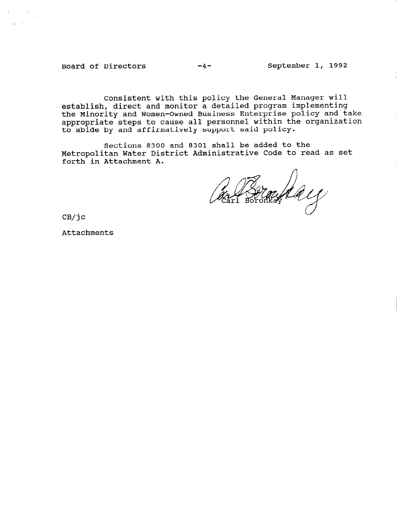Board of Directors -4- September 1, 1992

Consistent with this policy the General Manager will establish, direct and monitor a detailed program implementing the Minority and Women-Owned Business Enterprise policy and take appropriate steps to cause all personnel within the organization to abide by and affirmatively support said policy.

Sections 8300 and 8301 shall be added to the Metropolitan Water District Administrative Code to read as set forth in Attachment A.

Gerland 11

CB/jc

 $\sim$ 

Attachments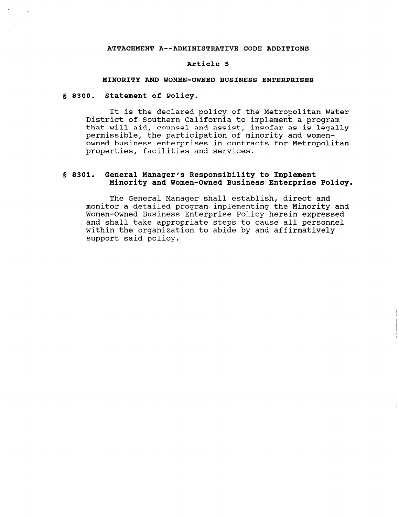### ATTACHMENT A--ADMINISTRATIVE CODE ADDITIONS

#### Article 5

### MINORITY AND WOMEN-OWNED BUSINESS ENTERPRISES

## 5 8300. Statement of Policy.

It is the declared policy of the Metropolitan Water District of Southern California to implement a program that will aid, counsel and assist, insofar as is legally permissible, the participation of minority and womenowned business enterprises in contracts for Metropolitan properties, facilities and services.

# 5 8301. General Manager's Responsibility to Implement Minority and Women-Owned Business Enterprise Policy.

The General Manager shall establish, direct and monitor a detailed program implementing the Minority and Women-Owned Business Enterprise Policy herein expressed and shall take appropriate steps to cause all personnel within the organization to abide by and affirmatively support said policy.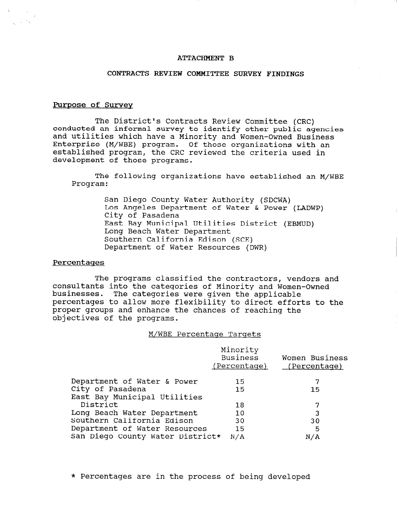## ATTACHMENT B

## CONTRACTS REVIEW COMMITTEE SURVEY FINDINGS

## Purpose of Survev

The District's Contracts Review Committee (CRC) conducted an informal survey to identify other public agencies and utilities which have a Minority and Women-Owned Business Enterprise (M/WBE) program. Of those organizations with an established program, the CRC reviewed the criteria used in development of those programs.

The following organizations have established an M/WBE Program:

> San Diego County Water Authority (SDCWA) Los Angeles Department of Water & Power (LADWP) City of Pasadena East Bay Municipal Utilities District (EBMUD) Long Beach Water Department Southern California Edison (SCE) Department of Water Resources (DWR)

## Percentaqes

The programs classified the contractors, vendors and consultants into the categories of Minority and Women-Owned businesses. The categories were given the applicable percentages to allow more flexibility to direct efforts to the proper groups and enhance the chances of reaching the objectives of the programs.

### M/WBE Percentage Targets

|                                  | Minority<br>Business<br>(Percentage) | Women Business<br><u>(Percentage)</u> |
|----------------------------------|--------------------------------------|---------------------------------------|
| Department of Water & Power      | 15                                   |                                       |
| City of Pasadena                 | 15                                   | 15                                    |
| East Bay Municipal Utilities     |                                      |                                       |
| District                         | 18                                   |                                       |
| Long Beach Water Department      | 10                                   | 3                                     |
| Southern California Edison       | 30                                   | 30                                    |
| Department of Water Resources    | 15                                   | 5                                     |
| San Diego County Water District* | N/A                                  | N/A                                   |

\* Percentages are in the process of being developed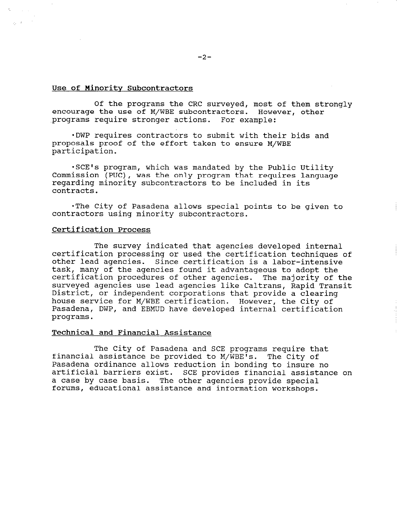## Use of Minority Subcontractors

Of the programs the CRC surveyed, most of them strongly encourage the use of M/WBE subcontractors. However, other ,programs require stronger actions. For example:

. DWP requires contractors to submit with their bids and proposals proof of the effort taken to ensure M/WBE participation.

.SCE's program, which was mandated by the Public Utility Commission (PVC), was the only program that requires language regarding minority subcontractors to be included in its contracts.

\*The City of Pasadena allows special points to be given to contractors using minority subcontractors.

## Certification Process

The survey indicated that agencies developed internal certification processing or used the certification techniques of other lead agencies. Since certification is a labor-intensive task, many of the agencies found it advantageous to adopt the certification procedures of other agencies. The majority of the surveyed agencies use lead agencies like Caltrans, Rapid Transit District, or independent corporations that provide a clearing house service for M/WBE certification. However, the City of Pasadena, DWP, and EBMUD have developed internal certification programs.

# Technical and Financial Assistance

The City of Pasadena and SCE programs require that financial assistance be provided to M/WBE's. The City of Pasadena ordinance allows reduction in bonding to insure no artificial barriers exist. SCE provides financial assistance on a case by case basis. The other agencies provide special forums, educational assistance and information workshops.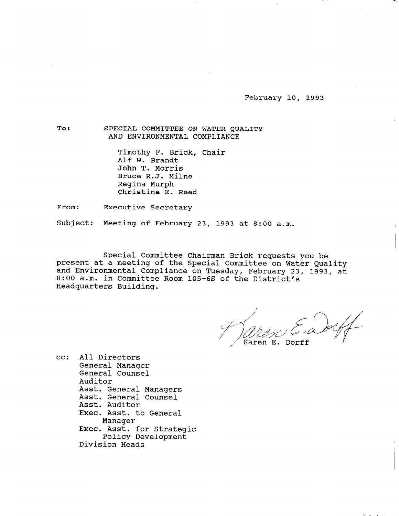February 10, 1993

To: SPECIAL COMMITTEE ON WATER QUALITY AND ENVIRONMENTAL COMPLIANCE

> Timothy F. Brick, Chair Alf W. Brandt John T. Morris Bruce R.J. Milne Regina Murph Christine E. Reed

From: Executive Secretary

Subject: Meeting of February 23, 1993 at 8:00 a.m.

Special Committee Chairman Brick requests you be present at a meeting of the Special Committee on Water Quality and Environmental Compliance on Tuesday, February 23, 1993, at 8:00 a.m. in Committee Room 105-6s of the District's Headquarters Building.

.<br>Karen E. Dorff

cc: All Directors General Manager General Counsel Auditor AUUILUI<br>Asst. General Managers Asst. General Manage Asst. General Counsel<br>Asst. Auditor ASSL. AUGILOI<br>Text lead to G ASSL.<br>Jeografia manager<br>Exec. Asst. for Strategi ASSt. IOT Strat Policy Development<br>Division Heads